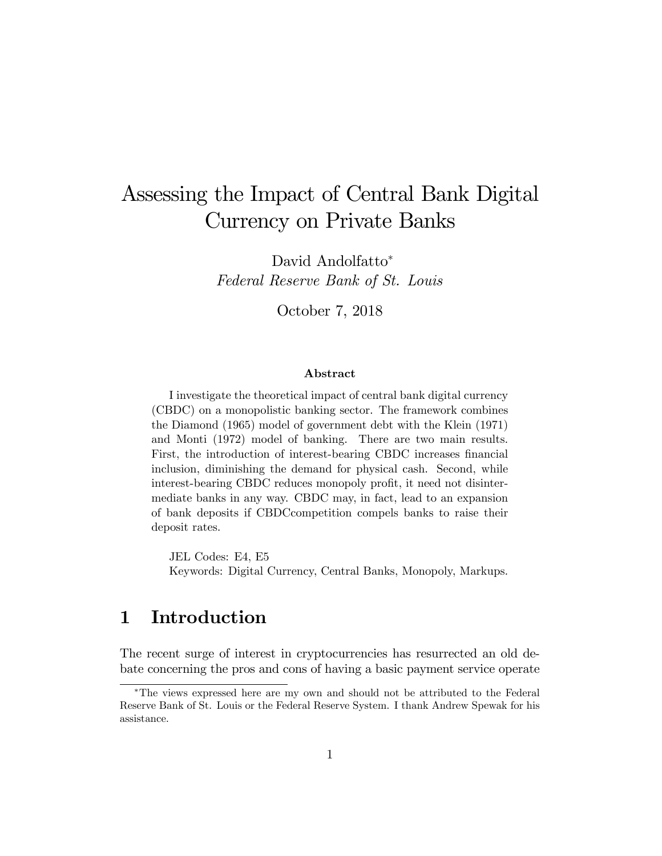# Assessing the Impact of Central Bank Digital Currency on Private Banks

David Andolfatto<sup>\*</sup> Federal Reserve Bank of St. Louis

October 7, 2018

#### Abstract

I investigate the theoretical impact of central bank digital currency (CBDC) on a monopolistic banking sector. The framework combines the Diamond (1965) model of government debt with the Klein (1971) and Monti (1972) model of banking. There are two main results. First, the introduction of interest-bearing CBDC increases financial inclusion, diminishing the demand for physical cash. Second, while interest-bearing CBDC reduces monopoly profit, it need not disintermediate banks in any way. CBDC may, in fact, lead to an expansion of bank deposits if CBDCcompetition compels banks to raise their deposit rates.

JEL Codes: E4, E5 Keywords: Digital Currency, Central Banks, Monopoly, Markups.

# 1 Introduction

The recent surge of interest in cryptocurrencies has resurrected an old debate concerning the pros and cons of having a basic payment service operate

The views expressed here are my own and should not be attributed to the Federal Reserve Bank of St. Louis or the Federal Reserve System. I thank Andrew Spewak for his assistance.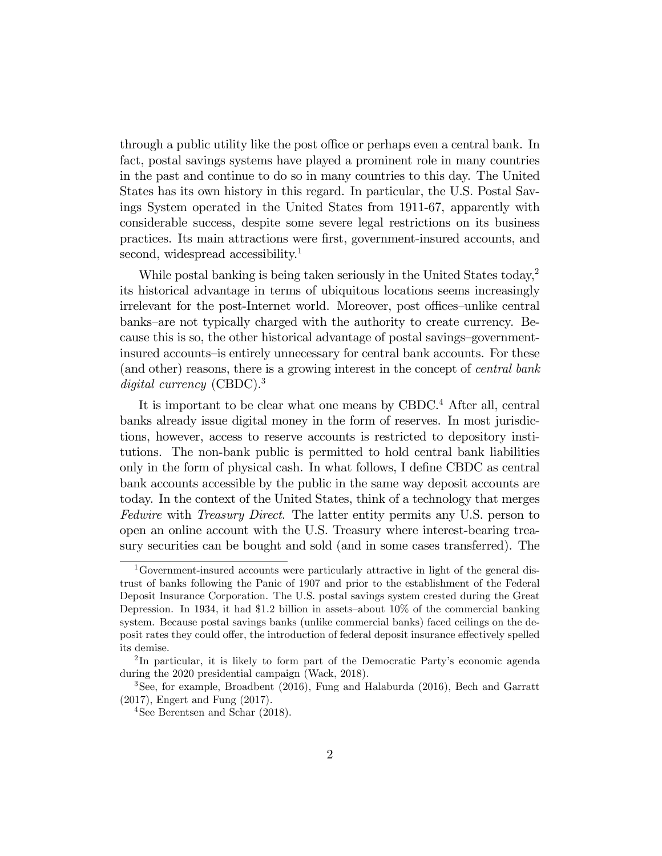through a public utility like the post office or perhaps even a central bank. In fact, postal savings systems have played a prominent role in many countries in the past and continue to do so in many countries to this day. The United States has its own history in this regard. In particular, the U.S. Postal Savings System operated in the United States from 1911-67, apparently with considerable success, despite some severe legal restrictions on its business practices. Its main attractions were Örst, government-insured accounts, and second, widespread accessibility.<sup>1</sup>

While postal banking is being taken seriously in the United States today,<sup>2</sup> its historical advantage in terms of ubiquitous locations seems increasingly irrelevant for the post-Internet world. Moreover, post offices-unlike central banks–are not typically charged with the authority to create currency. Because this is so, the other historical advantage of postal savings-governmentinsured accounts-is entirely unnecessary for central bank accounts. For these (and other) reasons, there is a growing interest in the concept of central bank digital currency (CBDC).<sup>3</sup>

It is important to be clear what one means by CBDC.<sup>4</sup> After all, central banks already issue digital money in the form of reserves. In most jurisdictions, however, access to reserve accounts is restricted to depository institutions. The non-bank public is permitted to hold central bank liabilities only in the form of physical cash. In what follows, I define CBDC as central bank accounts accessible by the public in the same way deposit accounts are today. In the context of the United States, think of a technology that merges Fedwire with *Treasury Direct*. The latter entity permits any U.S. person to open an online account with the U.S. Treasury where interest-bearing treasury securities can be bought and sold (and in some cases transferred). The

<sup>1</sup>Government-insured accounts were particularly attractive in light of the general distrust of banks following the Panic of 1907 and prior to the establishment of the Federal Deposit Insurance Corporation. The U.S. postal savings system crested during the Great Depression. In 1934, it had \$1.2 billion in assets–about  $10\%$  of the commercial banking system. Because postal savings banks (unlike commercial banks) faced ceilings on the deposit rates they could offer, the introduction of federal deposit insurance effectively spelled its demise.

<sup>&</sup>lt;sup>2</sup>In particular, it is likely to form part of the Democratic Party's economic agenda during the 2020 presidential campaign (Wack, 2018).

<sup>3</sup>See, for example, Broadbent (2016), Fung and Halaburda (2016), Bech and Garratt (2017), Engert and Fung (2017).

<sup>&</sup>lt;sup>4</sup>See Berentsen and Schar  $(2018)$ .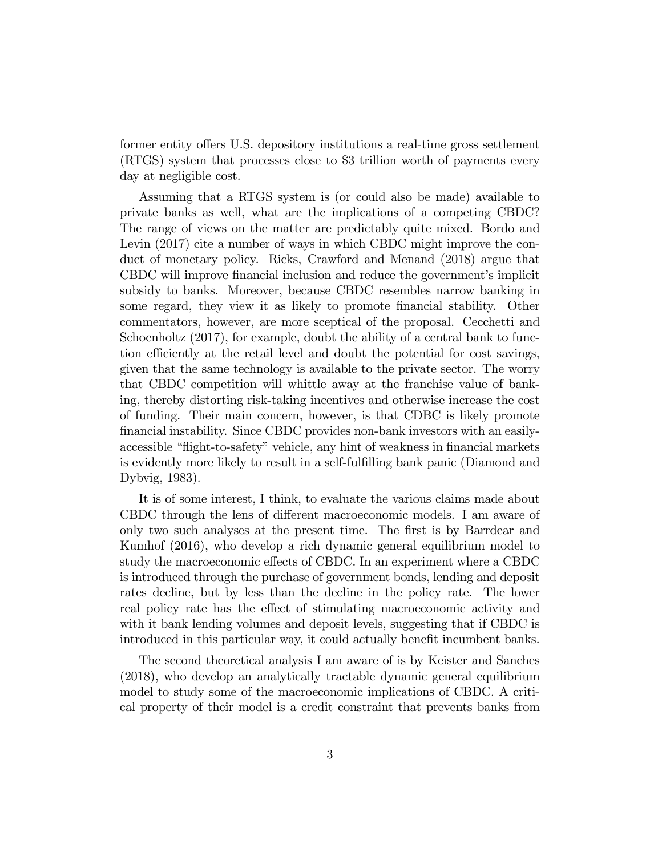former entity offers U.S. depository institutions a real-time gross settlement (RTGS) system that processes close to \$3 trillion worth of payments every day at negligible cost.

Assuming that a RTGS system is (or could also be made) available to private banks as well, what are the implications of a competing CBDC? The range of views on the matter are predictably quite mixed. Bordo and Levin (2017) cite a number of ways in which CBDC might improve the conduct of monetary policy. Ricks, Crawford and Menand (2018) argue that CBDC will improve financial inclusion and reduce the government's implicit subsidy to banks. Moreover, because CBDC resembles narrow banking in some regard, they view it as likely to promote financial stability. Other commentators, however, are more sceptical of the proposal. Cecchetti and Schoenholtz (2017), for example, doubt the ability of a central bank to function efficiently at the retail level and doubt the potential for cost savings, given that the same technology is available to the private sector. The worry that CBDC competition will whittle away at the franchise value of banking, thereby distorting risk-taking incentives and otherwise increase the cost of funding. Their main concern, however, is that CDBC is likely promote Önancial instability. Since CBDC provides non-bank investors with an easilyaccessible "flight-to-safety" vehicle, any hint of weakness in financial markets is evidently more likely to result in a self-fulfilling bank panic (Diamond and Dybvig, 1983).

It is of some interest, I think, to evaluate the various claims made about CBDC through the lens of different macroeconomic models. I am aware of only two such analyses at the present time. The first is by Barrdear and Kumhof (2016), who develop a rich dynamic general equilibrium model to study the macroeconomic effects of CBDC. In an experiment where a CBDC is introduced through the purchase of government bonds, lending and deposit rates decline, but by less than the decline in the policy rate. The lower real policy rate has the effect of stimulating macroeconomic activity and with it bank lending volumes and deposit levels, suggesting that if CBDC is introduced in this particular way, it could actually benefit incumbent banks.

The second theoretical analysis I am aware of is by Keister and Sanches (2018), who develop an analytically tractable dynamic general equilibrium model to study some of the macroeconomic implications of CBDC. A critical property of their model is a credit constraint that prevents banks from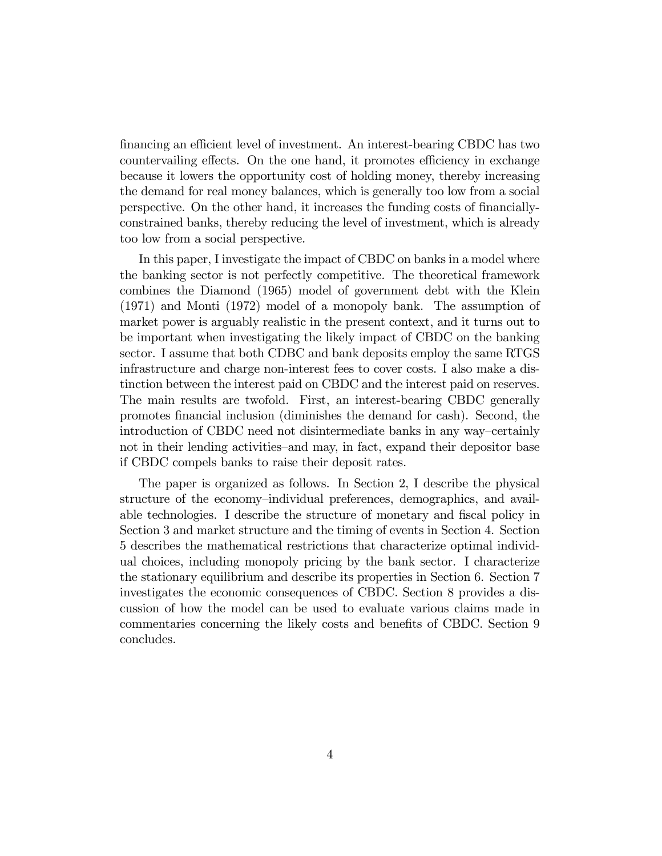financing an efficient level of investment. An interest-bearing CBDC has two countervailing effects. On the one hand, it promotes efficiency in exchange because it lowers the opportunity cost of holding money, thereby increasing the demand for real money balances, which is generally too low from a social perspective. On the other hand, it increases the funding costs of financiallyconstrained banks, thereby reducing the level of investment, which is already too low from a social perspective.

In this paper, I investigate the impact of CBDC on banks in a model where the banking sector is not perfectly competitive. The theoretical framework combines the Diamond (1965) model of government debt with the Klein (1971) and Monti (1972) model of a monopoly bank. The assumption of market power is arguably realistic in the present context, and it turns out to be important when investigating the likely impact of CBDC on the banking sector. I assume that both CDBC and bank deposits employ the same RTGS infrastructure and charge non-interest fees to cover costs. I also make a distinction between the interest paid on CBDC and the interest paid on reserves. The main results are twofold. First, an interest-bearing CBDC generally promotes Önancial inclusion (diminishes the demand for cash). Second, the introduction of CBDC need not disintermediate banks in any way–certainly not in their lending activities–and may, in fact, expand their depositor base if CBDC compels banks to raise their deposit rates.

The paper is organized as follows. In Section 2, I describe the physical structure of the economy–individual preferences, demographics, and available technologies. I describe the structure of monetary and fiscal policy in Section 3 and market structure and the timing of events in Section 4. Section 5 describes the mathematical restrictions that characterize optimal individual choices, including monopoly pricing by the bank sector. I characterize the stationary equilibrium and describe its properties in Section 6. Section 7 investigates the economic consequences of CBDC. Section 8 provides a discussion of how the model can be used to evaluate various claims made in commentaries concerning the likely costs and benefits of CBDC. Section 9 concludes.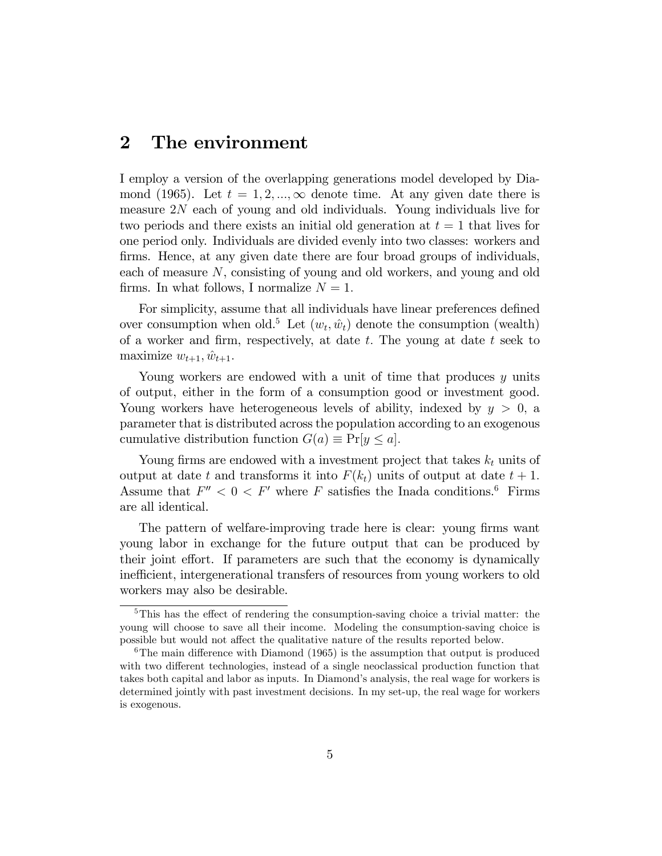### 2 The environment

I employ a version of the overlapping generations model developed by Diamond (1965). Let  $t = 1, 2, ..., \infty$  denote time. At any given date there is measure 2N each of young and old individuals. Young individuals live for two periods and there exists an initial old generation at  $t = 1$  that lives for one period only. Individuals are divided evenly into two classes: workers and firms. Hence, at any given date there are four broad groups of individuals, each of measure N, consisting of young and old workers, and young and old firms. In what follows, I normalize  $N = 1$ .

For simplicity, assume that all individuals have linear preferences defined over consumption when old.<sup>5</sup> Let  $(w_t, \hat{w}_t)$  denote the consumption (wealth) of a worker and firm, respectively, at date  $t$ . The young at date  $t$  seek to maximize  $w_{t+1}$ ,  $\hat{w}_{t+1}$ .

Young workers are endowed with a unit of time that produces y units of output, either in the form of a consumption good or investment good. Young workers have heterogeneous levels of ability, indexed by  $y > 0$ , a parameter that is distributed across the population according to an exogenous cumulative distribution function  $G(a) \equiv Pr[y \leq a]$ .

Young firms are endowed with a investment project that takes  $k_t$  units of output at date t and transforms it into  $F(k_t)$  units of output at date  $t + 1$ . Assume that  $F'' < 0 < F'$  where F satisfies the Inada conditions.<sup>6</sup> Firms are all identical.

The pattern of welfare-improving trade here is clear: young firms want young labor in exchange for the future output that can be produced by their joint effort. If parameters are such that the economy is dynamically inefficient, intergenerational transfers of resources from young workers to old workers may also be desirable.

 ${}^{5}$ This has the effect of rendering the consumption-saving choice a trivial matter: the young will choose to save all their income. Modeling the consumption-saving choice is possible but would not affect the qualitative nature of the results reported below.

<sup>&</sup>lt;sup>6</sup>The main difference with Diamond (1965) is the assumption that output is produced with two different technologies, instead of a single neoclassical production function that takes both capital and labor as inputs. In Diamond's analysis, the real wage for workers is determined jointly with past investment decisions. In my set-up, the real wage for workers is exogenous.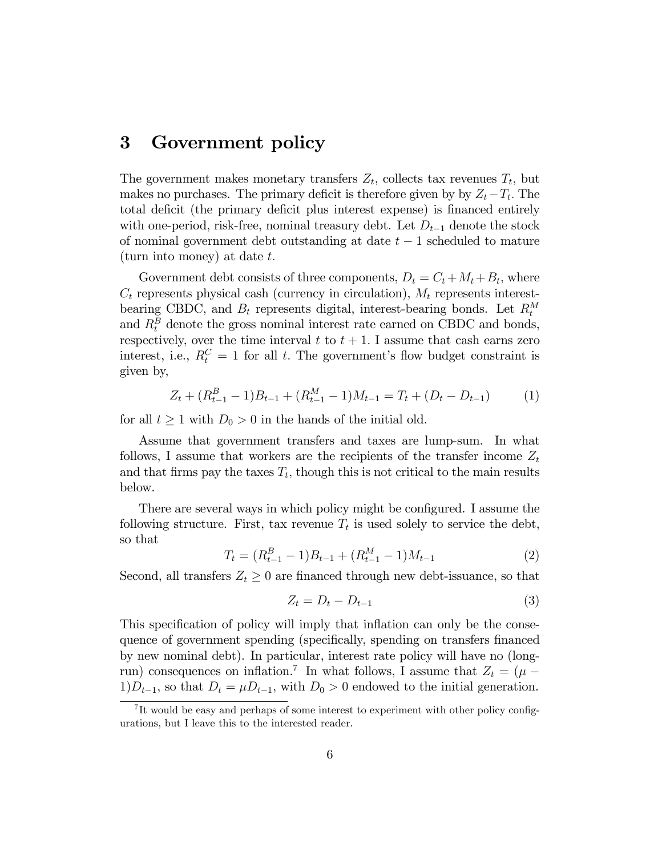### 3 Government policy

The government makes monetary transfers  $Z_t$ , collects tax revenues  $T_t$ , but makes no purchases. The primary deficit is therefore given by by  $Z_t - T_t$ . The total deficit (the primary deficit plus interest expense) is financed entirely with one-period, risk-free, nominal treasury debt. Let  $D_{t-1}$  denote the stock of nominal government debt outstanding at date  $t-1$  scheduled to mature (turn into money) at date  $t$ .

Government debt consists of three components,  $D_t = C_t + M_t + B_t$ , where  $C_t$  represents physical cash (currency in circulation),  $M_t$  represents interestbearing CBDC, and  $B_t$  represents digital, interest-bearing bonds. Let  $R_t^M$ and  $R_t^B$  denote the gross nominal interest rate earned on CBDC and bonds, respectively, over the time interval t to  $t + 1$ . I assume that cash earns zero interest, i.e.,  $R_t^C = 1$  for all t. The government's flow budget constraint is given by,

$$
Z_t + (R_{t-1}^B - 1)B_{t-1} + (R_{t-1}^M - 1)M_{t-1} = T_t + (D_t - D_{t-1})
$$
 (1)

for all  $t \ge 1$  with  $D_0 > 0$  in the hands of the initial old.

Assume that government transfers and taxes are lump-sum. In what follows, I assume that workers are the recipients of the transfer income  $Z_t$ and that firms pay the taxes  $T_t$ , though this is not critical to the main results below.

There are several ways in which policy might be configured. I assume the following structure. First, tax revenue  $T_t$  is used solely to service the debt, so that

$$
T_t = (R_{t-1}^B - 1)B_{t-1} + (R_{t-1}^M - 1)M_{t-1}
$$
\n(2)

Second, all transfers  $Z_t \geq 0$  are financed through new debt-issuance, so that

$$
Z_t = D_t - D_{t-1} \tag{3}
$$

This specification of policy will imply that inflation can only be the consequence of government spending (specifically, spending on transfers financed by new nominal debt). In particular, interest rate policy will have no (longrun) consequences on inflation.<sup>7</sup> In what follows, I assume that  $Z_t = (\mu 1)D_{t-1}$ , so that  $D_t = \mu D_{t-1}$ , with  $D_0 > 0$  endowed to the initial generation.

<sup>&</sup>lt;sup>7</sup>It would be easy and perhaps of some interest to experiment with other policy configurations, but I leave this to the interested reader.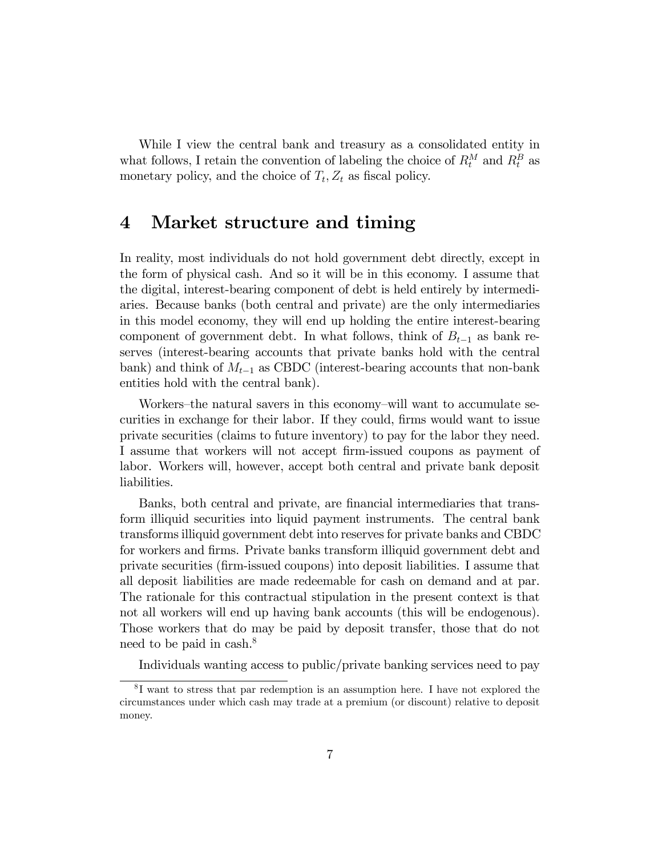While I view the central bank and treasury as a consolidated entity in what follows, I retain the convention of labeling the choice of  $R_t^M$  and  $R_t^B$  as monetary policy, and the choice of  $T_t$ ,  $Z_t$  as fiscal policy.

### 4 Market structure and timing

In reality, most individuals do not hold government debt directly, except in the form of physical cash. And so it will be in this economy. I assume that the digital, interest-bearing component of debt is held entirely by intermediaries. Because banks (both central and private) are the only intermediaries in this model economy, they will end up holding the entire interest-bearing component of government debt. In what follows, think of  $B_{t-1}$  as bank reserves (interest-bearing accounts that private banks hold with the central bank) and think of  $M_{t-1}$  as CBDC (interest-bearing accounts that non-bank entities hold with the central bank).

Workers–the natural savers in this economy–will want to accumulate securities in exchange for their labor. If they could, firms would want to issue private securities (claims to future inventory) to pay for the labor they need. I assume that workers will not accept firm-issued coupons as payment of labor. Workers will, however, accept both central and private bank deposit liabilities.

Banks, both central and private, are financial intermediaries that transform illiquid securities into liquid payment instruments. The central bank transforms illiquid government debt into reserves for private banks and CBDC for workers and Örms. Private banks transform illiquid government debt and private securities (Örm-issued coupons) into deposit liabilities. I assume that all deposit liabilities are made redeemable for cash on demand and at par. The rationale for this contractual stipulation in the present context is that not all workers will end up having bank accounts (this will be endogenous). Those workers that do may be paid by deposit transfer, those that do not need to be paid in cash.<sup>8</sup>

Individuals wanting access to public/private banking services need to pay

<sup>8</sup> I want to stress that par redemption is an assumption here. I have not explored the circumstances under which cash may trade at a premium (or discount) relative to deposit money.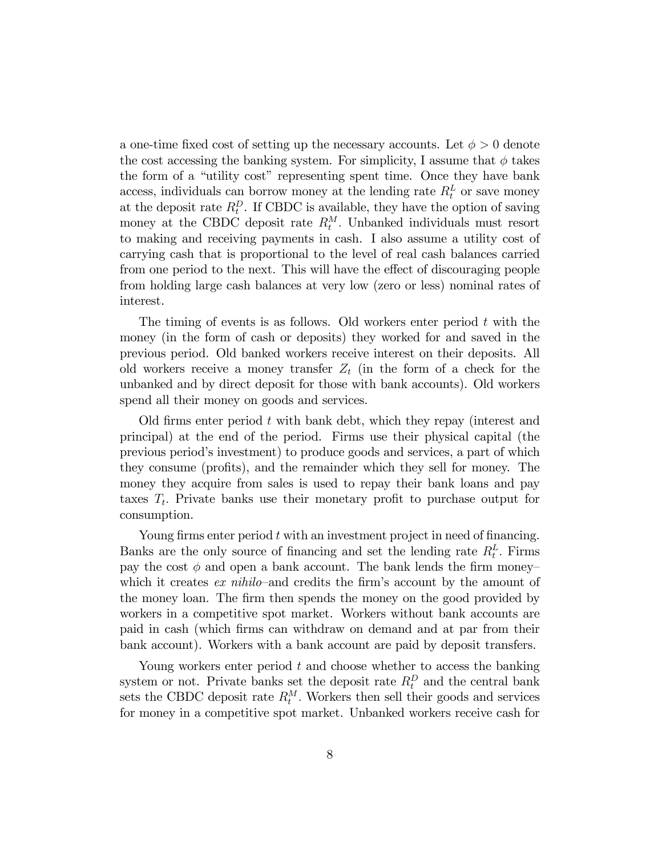a one-time fixed cost of setting up the necessary accounts. Let  $\phi > 0$  denote the cost accessing the banking system. For simplicity, I assume that  $\phi$  takes the form of a "utility cost" representing spent time. Once they have bank access, individuals can borrow money at the lending rate  $R_t^L$  or save money at the deposit rate  $R_t^D$ . If CBDC is available, they have the option of saving money at the CBDC deposit rate  $R_t^M$ . Unbanked individuals must resort to making and receiving payments in cash. I also assume a utility cost of carrying cash that is proportional to the level of real cash balances carried from one period to the next. This will have the effect of discouraging people from holding large cash balances at very low (zero or less) nominal rates of interest.

The timing of events is as follows. Old workers enter period  $t$  with the money (in the form of cash or deposits) they worked for and saved in the previous period. Old banked workers receive interest on their deposits. All old workers receive a money transfer  $Z_t$  (in the form of a check for the unbanked and by direct deposit for those with bank accounts). Old workers spend all their money on goods and services.

Old firms enter period  $t$  with bank debt, which they repay (interest and principal) at the end of the period. Firms use their physical capital (the previous periodís investment) to produce goods and services, a part of which they consume (profits), and the remainder which they sell for money. The money they acquire from sales is used to repay their bank loans and pay taxes  $T_t$ . Private banks use their monetary profit to purchase output for consumption.

Young firms enter period  $t$  with an investment project in need of financing. Banks are the only source of financing and set the lending rate  $R_t^L$ . Firms pay the cost  $\phi$  and open a bank account. The bank lends the firm moneywhich it creates  $ex\,\,nihilo$ —and credits the firm's account by the amount of the money loan. The firm then spends the money on the good provided by workers in a competitive spot market. Workers without bank accounts are paid in cash (which Örms can withdraw on demand and at par from their bank account). Workers with a bank account are paid by deposit transfers.

Young workers enter period  $t$  and choose whether to access the banking system or not. Private banks set the deposit rate  $R_t^D$  and the central bank sets the CBDC deposit rate  $R_t^M$ . Workers then sell their goods and services for money in a competitive spot market. Unbanked workers receive cash for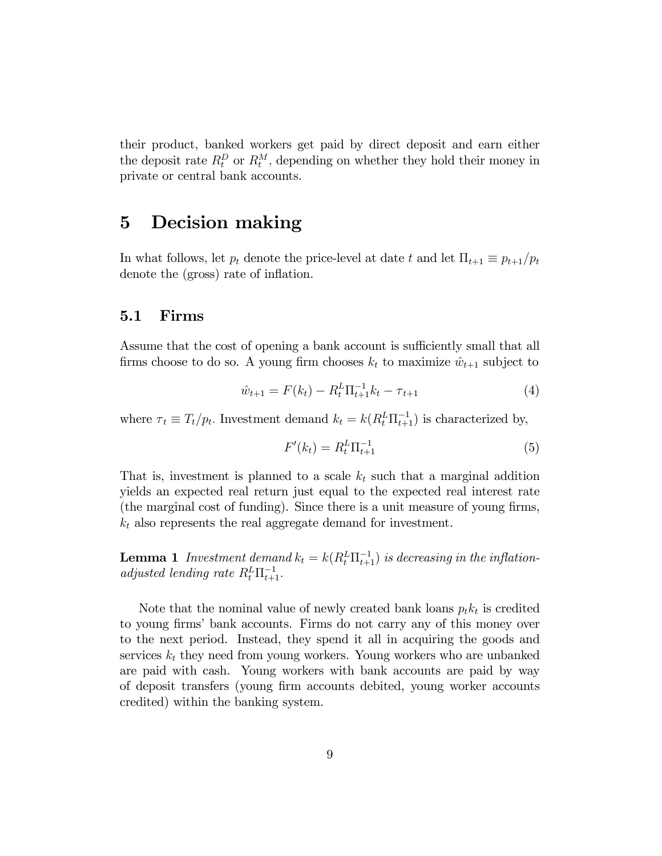their product, banked workers get paid by direct deposit and earn either the deposit rate  $R_t^D$  or  $R_t^M$ , depending on whether they hold their money in private or central bank accounts.

### 5 Decision making

In what follows, let  $p_t$  denote the price-level at date t and let  $\Pi_{t+1} \equiv p_{t+1}/p_t$ denote the (gross) rate of inflation.

#### 5.1 Firms

Assume that the cost of opening a bank account is sufficiently small that all firms choose to do so. A young firm chooses  $k_t$  to maximize  $\hat{w}_{t+1}$  subject to

$$
\hat{w}_{t+1} = F(k_t) - R_t^L \Pi_{t+1}^{-1} k_t - \tau_{t+1}
$$
\n(4)

where  $\tau_t \equiv T_t/p_t$ . Investment demand  $k_t = k(R_t^L \Pi_{t+1}^{-1})$  is characterized by,

$$
F'(k_t) = R_t^L \Pi_{t+1}^{-1}
$$
\n(5)

That is, investment is planned to a scale  $k_t$  such that a marginal addition yields an expected real return just equal to the expected real interest rate (the marginal cost of funding). Since there is a unit measure of young firms,  $k_t$  also represents the real aggregate demand for investment.

**Lemma 1** Investment demand  $k_t = k(R_t^L \Pi_{t+1}^{-1})$  is decreasing in the inflationadjusted lending rate  $R_t^L \Pi_{t+1}^{-1}$ .

Note that the nominal value of newly created bank loans  $p_t k_t$  is credited to young firms' bank accounts. Firms do not carry any of this money over to the next period. Instead, they spend it all in acquiring the goods and services  $k_t$  they need from young workers. Young workers who are unbanked are paid with cash. Young workers with bank accounts are paid by way of deposit transfers (young Örm accounts debited, young worker accounts credited) within the banking system.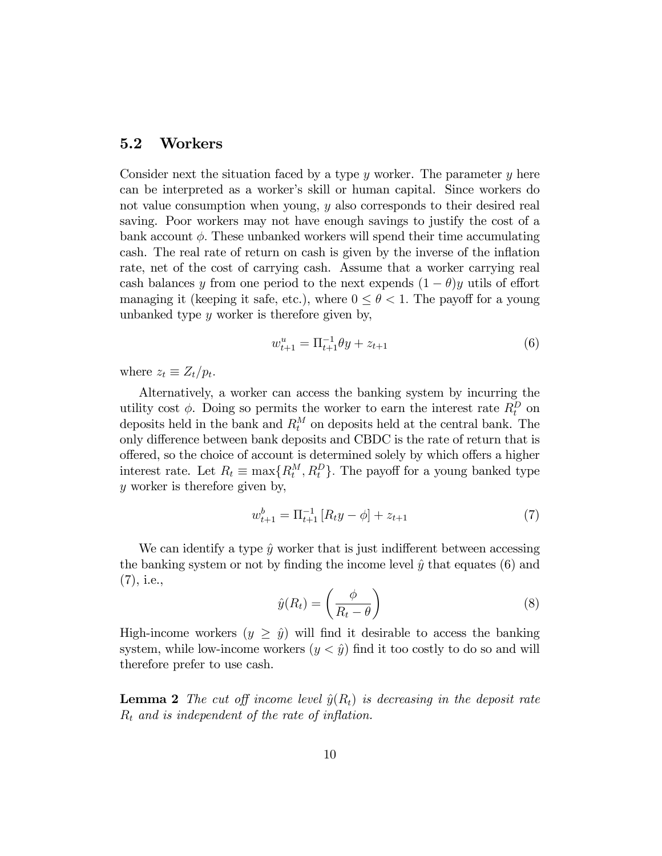#### 5.2 Workers

Consider next the situation faced by a type  $y$  worker. The parameter  $y$  here can be interpreted as a worker's skill or human capital. Since workers do not value consumption when young, y also corresponds to their desired real saving. Poor workers may not have enough savings to justify the cost of a bank account  $\phi$ . These unbanked workers will spend their time accumulating cash. The real rate of return on cash is given by the inverse of the inflation rate, net of the cost of carrying cash. Assume that a worker carrying real cash balances y from one period to the next expends  $(1 - \theta)y$  utils of effort managing it (keeping it safe, etc.), where  $0 \le \theta < 1$ . The payoff for a young unbanked type  $y$  worker is therefore given by,

$$
w_{t+1}^u = \Pi_{t+1}^{-1} \theta y + z_{t+1}
$$
\n<sup>(6)</sup>

where  $z_t \equiv Z_t/p_t$ .

Alternatively, a worker can access the banking system by incurring the utility cost  $\phi$ . Doing so permits the worker to earn the interest rate  $R_t^D$  on deposits held in the bank and  $R_t^M$  on deposits held at the central bank. The only difference between bank deposits and CBDC is the rate of return that is offered, so the choice of account is determined solely by which offers a higher interest rate. Let  $R_t \equiv \max\{R_t^M, R_t^D\}$ . The payoff for a young banked type y worker is therefore given by,

$$
w_{t+1}^{b} = \Pi_{t+1}^{-1} \left[ R_t y - \phi \right] + z_{t+1} \tag{7}
$$

We can identify a type  $\hat{y}$  worker that is just indifferent between accessing the banking system or not by finding the income level  $\hat{y}$  that equates (6) and (7), i.e.,

$$
\hat{y}(R_t) = \left(\frac{\phi}{R_t - \theta}\right) \tag{8}
$$

High-income workers  $(y \geq \hat{y})$  will find it desirable to access the banking system, while low-income workers  $(y < \hat{y})$  find it too costly to do so and will therefore prefer to use cash.

**Lemma 2** The cut off income level  $\hat{y}(R_t)$  is decreasing in the deposit rate  $R_t$  and is independent of the rate of inflation.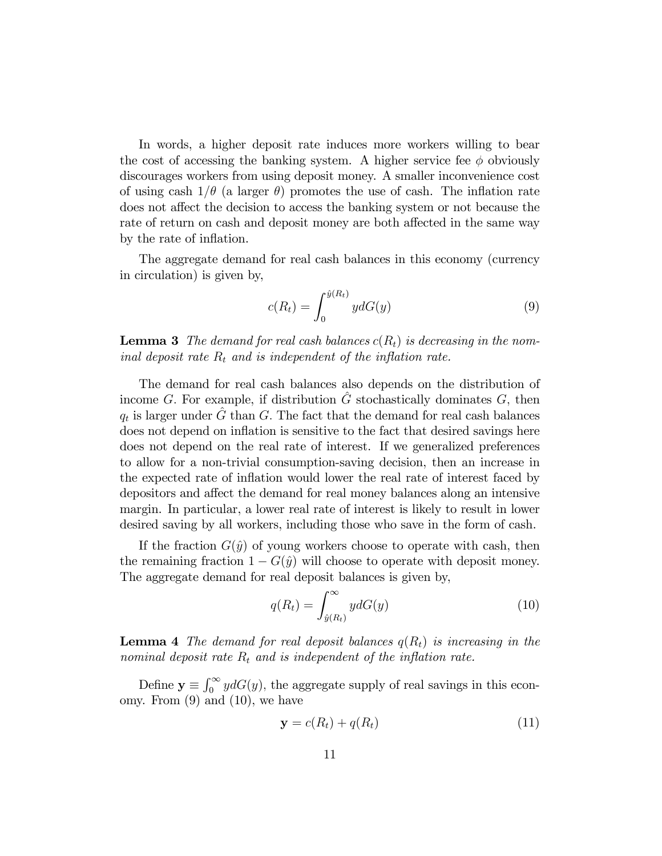In words, a higher deposit rate induces more workers willing to bear the cost of accessing the banking system. A higher service fee  $\phi$  obviously discourages workers from using deposit money. A smaller inconvenience cost of using cash  $1/\theta$  (a larger  $\theta$ ) promotes the use of cash. The inflation rate does not affect the decision to access the banking system or not because the rate of return on cash and deposit money are both affected in the same way by the rate of inflation.

The aggregate demand for real cash balances in this economy (currency in circulation) is given by,

$$
c(R_t) = \int_0^{\hat{y}(R_t)} y dG(y) \tag{9}
$$

**Lemma 3** The demand for real cash balances  $c(R_t)$  is decreasing in the nominal deposit rate  $R_t$  and is independent of the inflation rate.

The demand for real cash balances also depends on the distribution of income G. For example, if distribution  $\hat{G}$  stochastically dominates G, then  $q_t$  is larger under  $\hat{G}$  than G. The fact that the demand for real cash balances does not depend on inflation is sensitive to the fact that desired savings here does not depend on the real rate of interest. If we generalized preferences to allow for a non-trivial consumption-saving decision, then an increase in the expected rate of ináation would lower the real rate of interest faced by depositors and affect the demand for real money balances along an intensive margin. In particular, a lower real rate of interest is likely to result in lower desired saving by all workers, including those who save in the form of cash.

If the fraction  $G(\hat{y})$  of young workers choose to operate with cash, then the remaining fraction  $1 - G(\hat{y})$  will choose to operate with deposit money. The aggregate demand for real deposit balances is given by,

$$
q(R_t) = \int_{\hat{y}(R_t)}^{\infty} y dG(y)
$$
 (10)

**Lemma 4** The demand for real deposit balances  $q(R_t)$  is increasing in the nominal deposit rate  $R_t$  and is independent of the inflation rate.

Define  $y \equiv \int_0^\infty y dG(y)$ , the aggregate supply of real savings in this economy. From  $(9)$  and  $(10)$ , we have

$$
\mathbf{y} = c(R_t) + q(R_t) \tag{11}
$$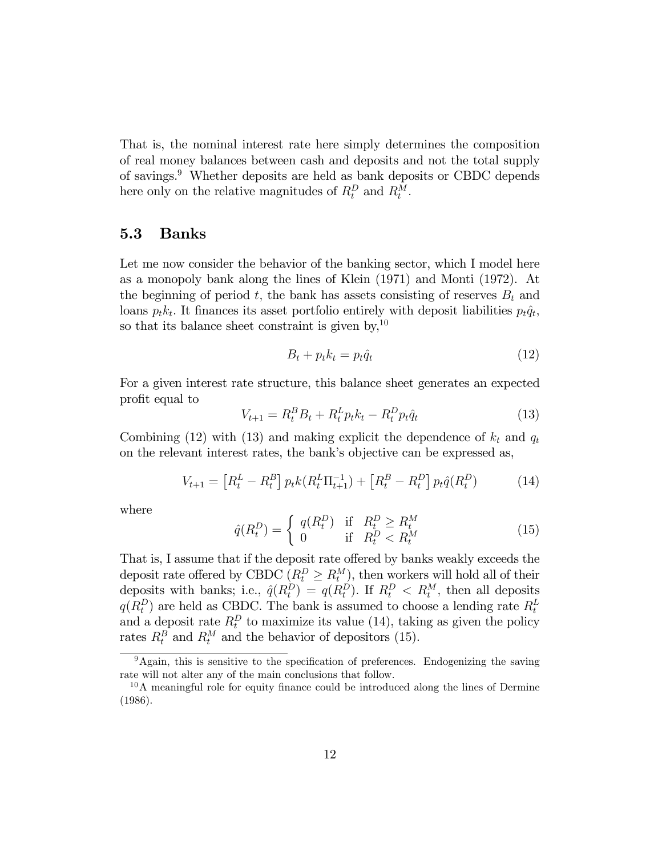That is, the nominal interest rate here simply determines the composition of real money balances between cash and deposits and not the total supply of savings.<sup>9</sup> Whether deposits are held as bank deposits or CBDC depends here only on the relative magnitudes of  $R_t^D$  and  $R_t^M$ .

#### 5.3 Banks

Let me now consider the behavior of the banking sector, which I model here as a monopoly bank along the lines of Klein (1971) and Monti (1972). At the beginning of period t, the bank has assets consisting of reserves  $B_t$  and loans  $p_t k_t$ . It finances its asset portfolio entirely with deposit liabilities  $p_t \hat{q}_t$ , so that its balance sheet constraint is given by,  $10$ 

$$
B_t + p_t k_t = p_t \hat{q}_t \tag{12}
$$

For a given interest rate structure, this balance sheet generates an expected profit equal to

$$
V_{t+1} = R_t^B B_t + R_t^L p_t k_t - R_t^D p_t \hat{q}_t
$$
\n(13)

Combining (12) with (13) and making explicit the dependence of  $k_t$  and  $q_t$ on the relevant interest rates, the bank's objective can be expressed as,

$$
V_{t+1} = \left[R_t^L - R_t^B\right] p_t k \left(R_t^L \Pi_{t+1}^{-1}\right) + \left[R_t^B - R_t^D\right] p_t \hat{q} \left(R_t^D\right) \tag{14}
$$

where

$$
\hat{q}(R_t^D) = \begin{cases} q(R_t^D) & \text{if } R_t^D \ge R_t^M\\ 0 & \text{if } R_t^D < R_t^M \end{cases} \tag{15}
$$

That is, I assume that if the deposit rate offered by banks weakly exceeds the deposit rate offered by CBDC  $(R_t^D \ge R_t^M)$ , then workers will hold all of their deposits with banks; i.e.,  $\hat{q}(R_t^D) = q(R_t^D)$ . If  $R_t^D < R_t^M$ , then all deposits  $q(R_t^D)$  are held as CBDC. The bank is assumed to choose a lending rate  $R_t^L$ and a deposit rate  $R_t^D$  to maximize its value (14), taking as given the policy rates  $R_t^B$  and  $R_t^M$  and the behavior of depositors (15).

 $9$ Again, this is sensitive to the specification of preferences. Endogenizing the saving rate will not alter any of the main conclusions that follow.

 $10<sup>10</sup>A$  meaningful role for equity finance could be introduced along the lines of Dermine (1986).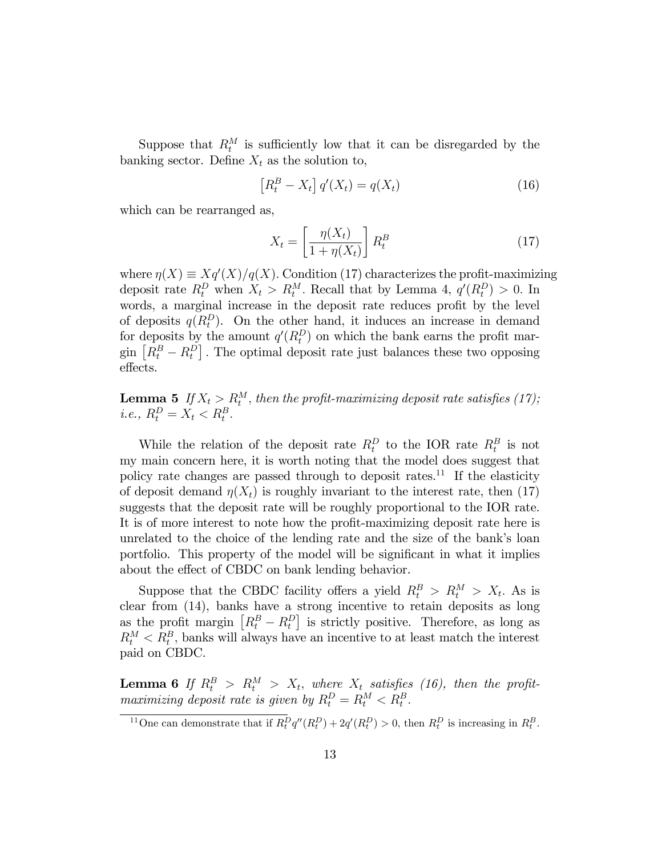Suppose that  $R_t^M$  is sufficiently low that it can be disregarded by the banking sector. Define  $X_t$  as the solution to,

$$
\left[R_t^B - X_t\right]q'(X_t) = q(X_t) \tag{16}
$$

which can be rearranged as,

$$
X_t = \left[\frac{\eta(X_t)}{1 + \eta(X_t)}\right] R_t^B \tag{17}
$$

where  $\eta(X) \equiv Xq'(X)/q(X)$ . Condition (17) characterizes the profit-maximizing deposit rate  $R_t^D$  when  $X_t > R_t^M$ . Recall that by Lemma 4,  $q'(R_t^D) > 0$ . In words, a marginal increase in the deposit rate reduces profit by the level of deposits  $q(R_t^D)$ . On the other hand, it induces an increase in demand for deposits by the amount  $q'(R_t^D)$  on which the bank earns the profit mar- $\lim_{n \to \infty} [R_t^B - R_t^D]$ . The optimal deposit rate just balances these two opposing effects.

**Lemma 5** If  $X_t > R_t^M$ , then the profit-maximizing deposit rate satisfies (17); *i.e.*,  $R_t^D = X_t < R_t^B$ .

While the relation of the deposit rate  $R_t^D$  to the IOR rate  $R_t^B$  is not my main concern here, it is worth noting that the model does suggest that policy rate changes are passed through to deposit rates.<sup>11</sup> If the elasticity of deposit demand  $\eta(X_t)$  is roughly invariant to the interest rate, then (17) suggests that the deposit rate will be roughly proportional to the IOR rate. It is of more interest to note how the profit-maximizing deposit rate here is unrelated to the choice of the lending rate and the size of the bank's loan portfolio. This property of the model will be significant in what it implies about the effect of CBDC on bank lending behavior.

Suppose that the CBDC facility offers a yield  $R_t^B > R_t^M > X_t$ . As is clear from (14), banks have a strong incentive to retain deposits as long as the profit margin  $\left[R_t^B - R_t^D\right]$  is strictly positive. Therefore, as long as  $R_t^M < R_t^B$ , banks will always have an incentive to at least match the interest paid on CBDC.

**Lemma 6** If  $R_t^B > R_t^M > X_t$ , where  $X_t$  satisfies (16), then the profitmaximizing deposit rate is given by  $R_t^D = R_t^M < R_t^B$ .

<sup>&</sup>lt;sup>11</sup>One can demonstrate that if  $R_t^D q''(R_t^D) + 2q'(R_t^D) > 0$ , then  $R_t^D$  is increasing in  $R_t^B$ .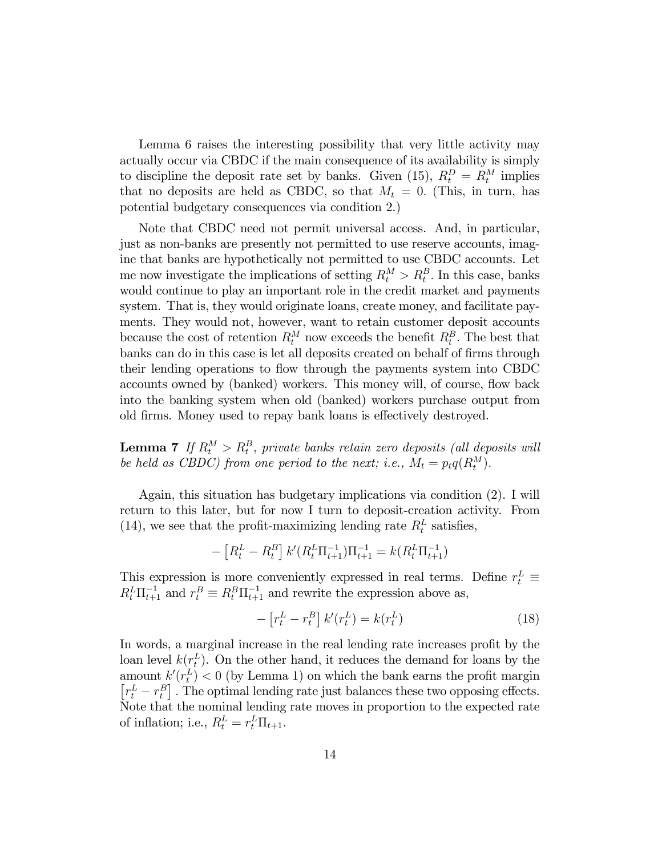Lemma 6 raises the interesting possibility that very little activity may actually occur via CBDC if the main consequence of its availability is simply to discipline the deposit rate set by banks. Given (15),  $R_t^D = R_t^M$  implies that no deposits are held as CBDC, so that  $M_t = 0$ . (This, in turn, has potential budgetary consequences via condition 2.)

Note that CBDC need not permit universal access. And, in particular, just as non-banks are presently not permitted to use reserve accounts, imagine that banks are hypothetically not permitted to use CBDC accounts. Let me now investigate the implications of setting  $R_t^M > R_t^B$ . In this case, banks would continue to play an important role in the credit market and payments system. That is, they would originate loans, create money, and facilitate payments. They would not, however, want to retain customer deposit accounts because the cost of retention  $R_t^M$  now exceeds the benefit  $R_t^B$ . The best that banks can do in this case is let all deposits created on behalf of firms through their lending operations to flow through the payments system into CBDC accounts owned by (banked) workers. This money will, of course, flow back into the banking system when old (banked) workers purchase output from old firms. Money used to repay bank loans is effectively destroyed.

**Lemma 7** If  $R_t^M > R_t^B$ , private banks retain zero deposits (all deposits will be held as CBDC) from one period to the next; i.e.,  $M_t = p_t q(R_t^M)$ .

Again, this situation has budgetary implications via condition (2). I will return to this later, but for now I turn to deposit-creation activity. From (14), we see that the profit-maximizing lending rate  $R_t^L$  satisfies,

$$
- [R_t^L - R_t^B] k'(R_t^L \Pi_{t+1}^{-1}) \Pi_{t+1}^{-1} = k(R_t^L \Pi_{t+1}^{-1})
$$

This expression is more conveniently expressed in real terms. Define  $r_t^L \equiv$  $R_t^L \Pi_{t+1}^{-1}$  and  $r_t^B \equiv R_t^B \Pi_{t+1}^{-1}$  and rewrite the expression above as,

$$
-\left[r_t^L - r_t^B\right]k'(r_t^L) = k(r_t^L) \tag{18}
$$

In words, a marginal increase in the real lending rate increases profit by the loan level  $k(r_t^L)$ . On the other hand, it reduces the demand for loans by the amount  $k'(r_t^L) < 0$  (by Lemma 1) on which the bank earns the profit margin  $\left[r_t^L - r_t^B\right]$  . The optimal lending rate just balances these two opposing effects. Note that the nominal lending rate moves in proportion to the expected rate of inflation; i.e.,  $R_t^L = r_t^L \Pi_{t+1}$ .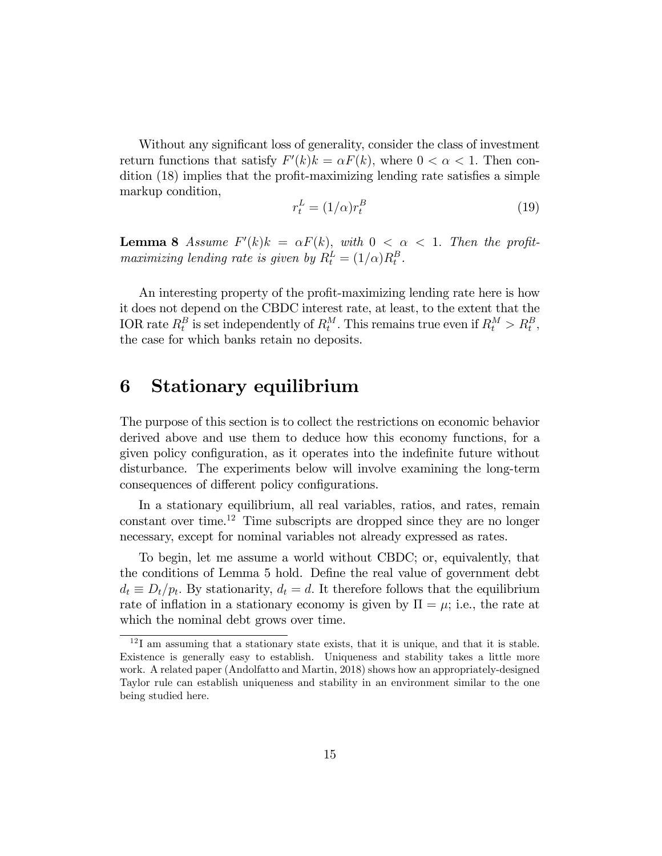Without any significant loss of generality, consider the class of investment return functions that satisfy  $F'(k)k = \alpha F(k)$ , where  $0 < \alpha < 1$ . Then con- $\frac{d}{dt}$  dition (18) implies that the profit-maximizing lending rate satisfies a simple markup condition,

$$
r_t^L = (1/\alpha)r_t^B \tag{19}
$$

**Lemma 8** Assume  $F'(k)k = \alpha F(k)$ , with  $0 < \alpha < 1$ . Then the profitmaximizing lending rate is given by  $R_t^L = (1/\alpha)R_t^B$ .

An interesting property of the profit-maximizing lending rate here is how it does not depend on the CBDC interest rate, at least, to the extent that the IOR rate  $R_t^B$  is set independently of  $R_t^M$ . This remains true even if  $R_t^M > R_t^B$ , the case for which banks retain no deposits.

### 6 Stationary equilibrium

The purpose of this section is to collect the restrictions on economic behavior derived above and use them to deduce how this economy functions, for a given policy configuration, as it operates into the indefinite future without disturbance. The experiments below will involve examining the long-term consequences of different policy configurations.

In a stationary equilibrium, all real variables, ratios, and rates, remain constant over time.<sup>12</sup> Time subscripts are dropped since they are no longer necessary, except for nominal variables not already expressed as rates.

To begin, let me assume a world without CBDC; or, equivalently, that the conditions of Lemma 5 hold. Define the real value of government debt  $d_t \equiv D_t/p_t$ . By stationarity,  $d_t = d$ . It therefore follows that the equilibrium rate of inflation in a stationary economy is given by  $\Pi = \mu$ ; i.e., the rate at which the nominal debt grows over time.

<sup>&</sup>lt;sup>12</sup>I am assuming that a stationary state exists, that it is unique, and that it is stable. Existence is generally easy to establish. Uniqueness and stability takes a little more work. A related paper (Andolfatto and Martin, 2018) shows how an appropriately-designed Taylor rule can establish uniqueness and stability in an environment similar to the one being studied here.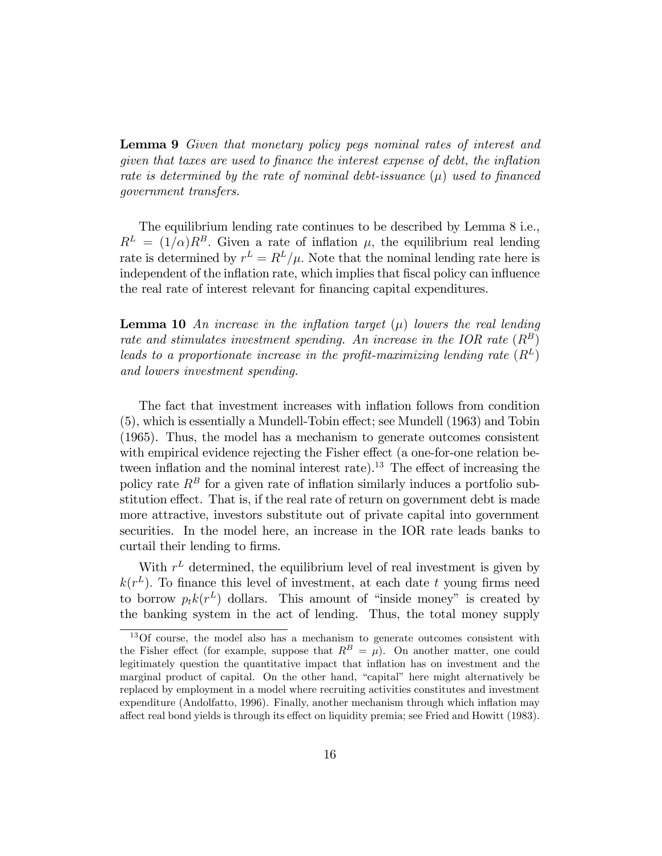Lemma 9 Given that monetary policy pegs nominal rates of interest and  $given that taxes are used to finance the interest expense of debt, the inflation$ rate is determined by the rate of nominal debt-issuance  $(\mu)$  used to financed government transfers.

The equilibrium lending rate continues to be described by Lemma 8 i.e.,  $R^L = (1/\alpha)R^B$ . Given a rate of inflation  $\mu$ , the equilibrium real lending rate is determined by  $r^L = R^L/\mu$ . Note that the nominal lending rate here is independent of the inflation rate, which implies that fiscal policy can influence the real rate of interest relevant for financing capital expenditures.

**Lemma 10** An increase in the inflation target  $(\mu)$  lowers the real lending rate and stimulates investment spending. An increase in the IOR rate  $(R^B)$ leads to a proportionate increase in the profit-maximizing lending rate  $(R^L)$ and lowers investment spending.

The fact that investment increases with inflation follows from condition  $(5)$ , which is essentially a Mundell-Tobin effect; see Mundell  $(1963)$  and Tobin (1965). Thus, the model has a mechanism to generate outcomes consistent with empirical evidence rejecting the Fisher effect (a one-for-one relation between inflation and the nominal interest rate).<sup>13</sup> The effect of increasing the policy rate  $R^B$  for a given rate of inflation similarly induces a portfolio substitution effect. That is, if the real rate of return on government debt is made more attractive, investors substitute out of private capital into government securities. In the model here, an increase in the IOR rate leads banks to curtail their lending to firms.

With  $r<sup>L</sup>$  determined, the equilibrium level of real investment is given by  $k(r^L)$ . To finance this level of investment, at each date t young firms need to borrow  $p_t k(r^L)$  dollars. This amount of "inside money" is created by the banking system in the act of lending. Thus, the total money supply

 $13$ Of course, the model also has a mechanism to generate outcomes consistent with the Fisher effect (for example, suppose that  $R^B = \mu$ ). On another matter, one could legitimately question the quantitative impact that inflation has on investment and the marginal product of capital. On the other hand, "capital" here might alternatively be replaced by employment in a model where recruiting activities constitutes and investment expenditure (Andolfatto, 1996). Finally, another mechanism through which inflation may affect real bond yields is through its effect on liquidity premia; see Fried and Howitt (1983).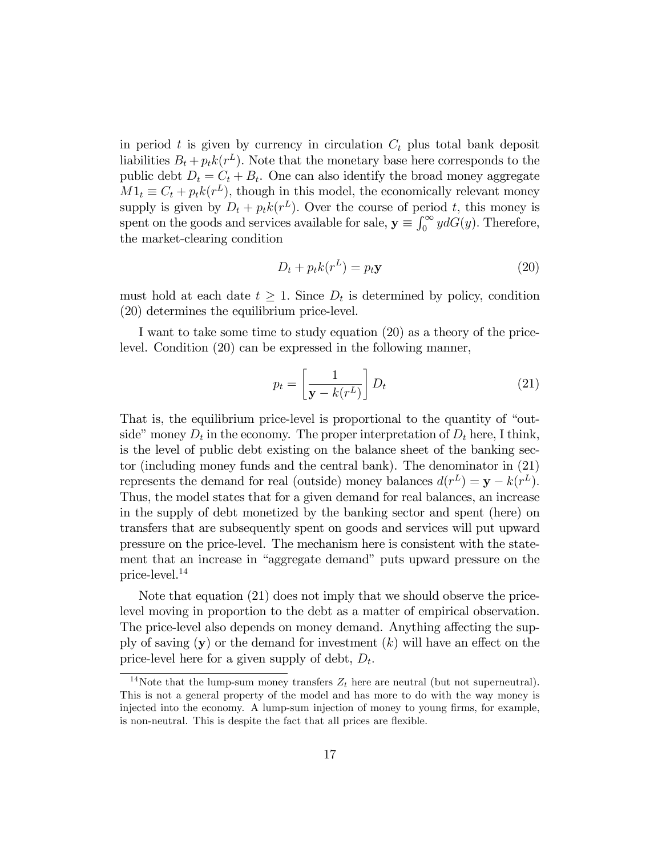in period t is given by currency in circulation  $C_t$  plus total bank deposit liabilities  $B_t + p_t k(r^L)$ . Note that the monetary base here corresponds to the public debt  $D_t = C_t + B_t$ . One can also identify the broad money aggregate  $M1_t \equiv C_t + p_t k(r^L)$ , though in this model, the economically relevant money supply is given by  $D_t + p_t k(r^L)$ . Over the course of period t, this money is spent on the goods and services available for sale,  $y \equiv \int_0^\infty y dG(y)$ . Therefore, the market-clearing condition

$$
D_t + p_t k(r^L) = p_t \mathbf{y} \tag{20}
$$

must hold at each date  $t \geq 1$ . Since  $D_t$  is determined by policy, condition (20) determines the equilibrium price-level.

I want to take some time to study equation (20) as a theory of the pricelevel. Condition (20) can be expressed in the following manner,

$$
p_t = \left[\frac{1}{\mathbf{y} - k(r^L)}\right] D_t \tag{21}
$$

That is, the equilibrium price-level is proportional to the quantity of "outside" money  $D_t$  in the economy. The proper interpretation of  $D_t$  here, I think, is the level of public debt existing on the balance sheet of the banking sector (including money funds and the central bank). The denominator in (21) represents the demand for real (outside) money balances  $d(r^L) = \mathbf{y} - k(r^L)$ . Thus, the model states that for a given demand for real balances, an increase in the supply of debt monetized by the banking sector and spent (here) on transfers that are subsequently spent on goods and services will put upward pressure on the price-level. The mechanism here is consistent with the statement that an increase in "aggregate demand" puts upward pressure on the price-level.<sup>14</sup>

Note that equation (21) does not imply that we should observe the pricelevel moving in proportion to the debt as a matter of empirical observation. The price-level also depends on money demand. Anything affecting the supply of saving  $(y)$  or the demand for investment  $(k)$  will have an effect on the price-level here for a given supply of debt,  $D_t$ .

<sup>&</sup>lt;sup>14</sup>Note that the lump-sum money transfers  $Z_t$  here are neutral (but not superneutral). This is not a general property of the model and has more to do with the way money is injected into the economy. A lump-sum injection of money to young firms, for example, is non-neutral. This is despite the fact that all prices are flexible.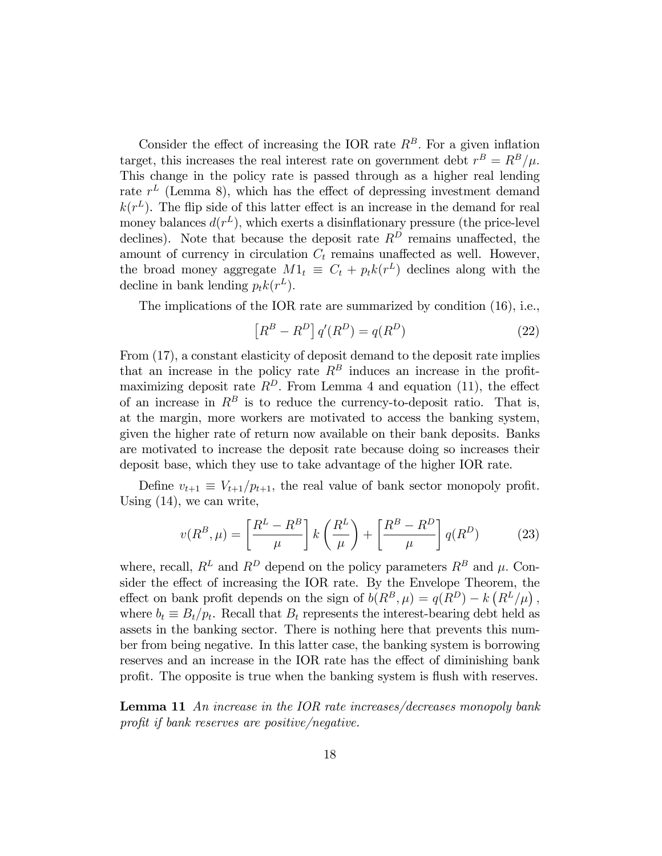Consider the effect of increasing the IOR rate  $R^B$ . For a given inflation target, this increases the real interest rate on government debt  $r^B = R^B/\mu$ . This change in the policy rate is passed through as a higher real lending rate  $r<sup>L</sup>$  (Lemma 8), which has the effect of depressing investment demand  $k(r^L)$ . The flip side of this latter effect is an increase in the demand for real money balances  $d(r^L)$ , which exerts a disinflationary pressure (the price-level declines). Note that because the deposit rate  $R^D$  remains unaffected, the amount of currency in circulation  $C_t$  remains unaffected as well. However, the broad money aggregate  $M1_t \equiv C_t + p_t k(r^L)$  declines along with the decline in bank lending  $p_t k(r^L)$ .

The implications of the IOR rate are summarized by condition (16), i.e.,

$$
\[R^B - R^D\] q'(R^D) = q(R^D) \tag{22}
$$

From (17), a constant elasticity of deposit demand to the deposit rate implies that an increase in the policy rate  $R^B$  induces an increase in the profitmaximizing deposit rate  $R^D$ . From Lemma 4 and equation (11), the effect of an increase in  $R^B$  is to reduce the currency-to-deposit ratio. That is, at the margin, more workers are motivated to access the banking system, given the higher rate of return now available on their bank deposits. Banks are motivated to increase the deposit rate because doing so increases their deposit base, which they use to take advantage of the higher IOR rate.

Define  $v_{t+1} \equiv V_{t+1}/p_{t+1}$ , the real value of bank sector monopoly profit. Using (14), we can write,

$$
v(R^B, \mu) = \left[\frac{R^L - R^B}{\mu}\right] k \left(\frac{R^L}{\mu}\right) + \left[\frac{R^B - R^D}{\mu}\right] q(R^D) \tag{23}
$$

where, recall,  $R^L$  and  $R^D$  depend on the policy parameters  $R^B$  and  $\mu$ . Consider the effect of increasing the IOR rate. By the Envelope Theorem, the effect on bank profit depends on the sign of  $b(R^B, \mu) = q(R^D) - k(R^L/\mu)$ , where  $b_t \equiv B_t/p_t$ . Recall that  $B_t$  represents the interest-bearing debt held as assets in the banking sector. There is nothing here that prevents this number from being negative. In this latter case, the banking system is borrowing reserves and an increase in the IOR rate has the effect of diminishing bank profit. The opposite is true when the banking system is flush with reserves.

Lemma 11 An increase in the IOR rate increases/decreases monopoly bank profit if bank reserves are positive/negative.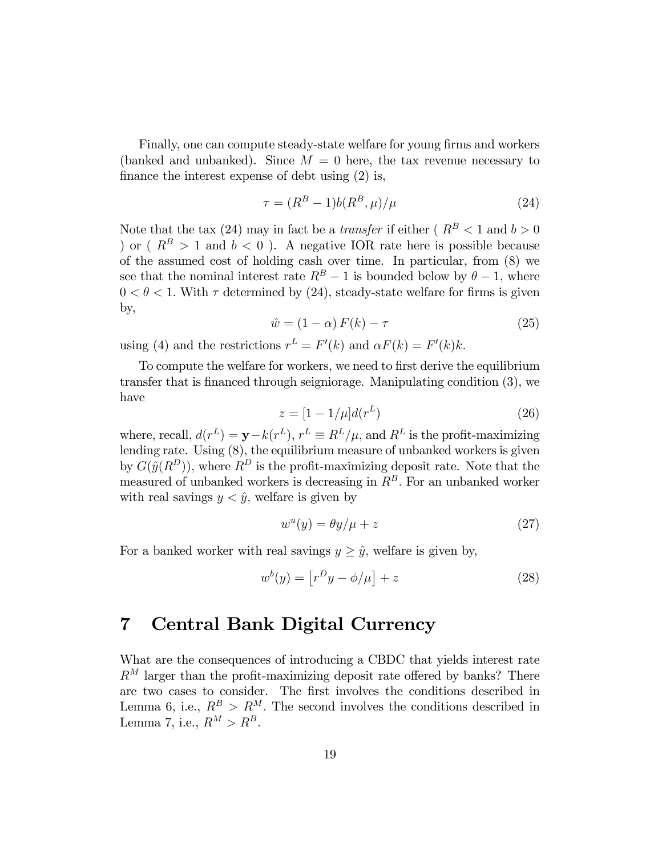Finally, one can compute steady-state welfare for young firms and workers (banked and unbanked). Since  $M = 0$  here, the tax revenue necessary to finance the interest expense of debt using  $(2)$  is,

$$
\tau = (R^B - 1)b(R^B, \mu)/\mu \tag{24}
$$

Note that the tax (24) may in fact be a *transfer* if either ( $R^B < 1$  and  $b > 0$ ) or ( $R^B > 1$  and  $b < 0$ ). A negative IOR rate here is possible because of the assumed cost of holding cash over time. In particular, from (8) we see that the nominal interest rate  $R^B - 1$  is bounded below by  $\theta - 1$ , where  $0 < \theta < 1$ . With  $\tau$  determined by (24), steady-state welfare for firms is given by,

$$
\hat{w} = (1 - \alpha) F(k) - \tau \tag{25}
$$

using (4) and the restrictions  $r^L = F'(k)$  and  $\alpha F(k) = F'(k)k$ .

To compute the welfare for workers, we need to first derive the equilibrium transfer that is Önanced through seigniorage. Manipulating condition (3), we have

$$
z = [1 - 1/\mu]d(r^L)
$$
 (26)

where, recall,  $d(r^L) = \mathbf{y} - k(r^L)$ ,  $r^L \equiv R^L/\mu$ , and  $R^L$  is the profit-maximizing lending rate. Using (8), the equilibrium measure of unbanked workers is given by  $G(\hat{y}(R^D))$ , where  $R^D$  is the profit-maximizing deposit rate. Note that the measured of unbanked workers is decreasing in  $R<sup>B</sup>$ . For an unbanked worker with real savings  $y < \hat{y}$ , welfare is given by

$$
w^u(y) = \theta y/\mu + z \tag{27}
$$

For a banked worker with real savings  $y \geq \hat{y}$ , welfare is given by,

$$
w^{b}(y) = \left[r^{D}y - \phi/\mu\right] + z \tag{28}
$$

## 7 Central Bank Digital Currency

What are the consequences of introducing a CBDC that yields interest rate  $R^M$  larger than the profit-maximizing deposit rate offered by banks? There are two cases to consider. The first involves the conditions described in Lemma 6, i.e.,  $R^B > R^M$ . The second involves the conditions described in Lemma 7, i.e.,  $R^M > R^B$ .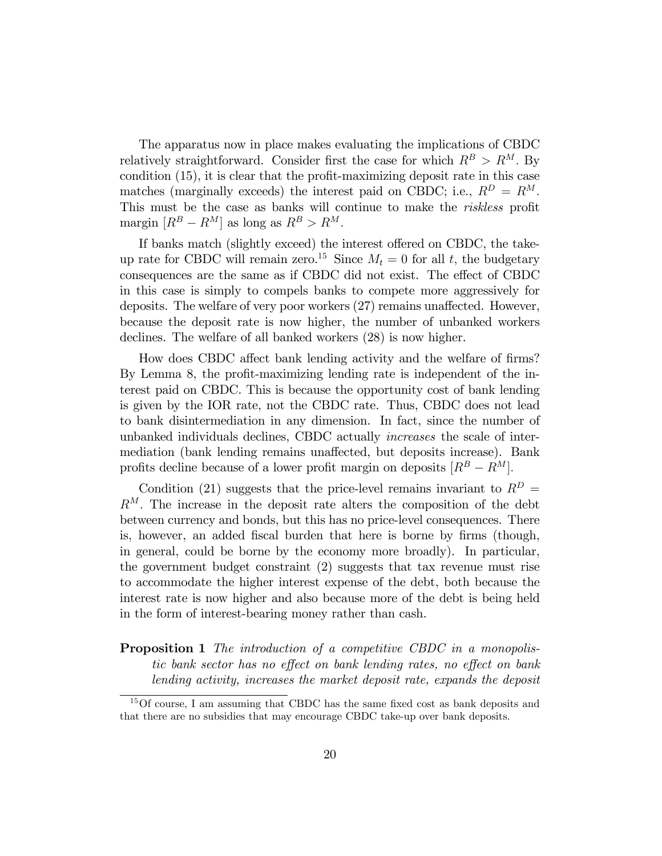The apparatus now in place makes evaluating the implications of CBDC relatively straightforward. Consider first the case for which  $R^B > R^M$ . By condition  $(15)$ , it is clear that the profit-maximizing deposit rate in this case matches (marginally exceeds) the interest paid on CBDC; i.e.,  $R^D = R^M$ . This must be the case as banks will continue to make the *riskless* profit margin  $[R^B - R^M]$  as long as  $R^B > R^M$ .

If banks match (slightly exceed) the interest offered on CBDC, the takeup rate for CBDC will remain zero.<sup>15</sup> Since  $M_t = 0$  for all t, the budgetary consequences are the same as if CBDC did not exist. The effect of CBDC in this case is simply to compels banks to compete more aggressively for deposits. The welfare of very poor workers  $(27)$  remains unaffected. However, because the deposit rate is now higher, the number of unbanked workers declines. The welfare of all banked workers (28) is now higher.

How does CBDC affect bank lending activity and the welfare of firms? By Lemma 8, the profit-maximizing lending rate is independent of the interest paid on CBDC. This is because the opportunity cost of bank lending is given by the IOR rate, not the CBDC rate. Thus, CBDC does not lead to bank disintermediation in any dimension. In fact, since the number of unbanked individuals declines, CBDC actually increases the scale of intermediation (bank lending remains unaffected, but deposits increase). Bank profits decline because of a lower profit margin on deposits  $[R^B - \stackrel{\sim}{R}^M]$ .

Condition (21) suggests that the price-level remains invariant to  $R^D$  =  $R^M$ . The increase in the deposit rate alters the composition of the debt between currency and bonds, but this has no price-level consequences. There is, however, an added fiscal burden that here is borne by firms (though, in general, could be borne by the economy more broadly). In particular, the government budget constraint (2) suggests that tax revenue must rise to accommodate the higher interest expense of the debt, both because the interest rate is now higher and also because more of the debt is being held in the form of interest-bearing money rather than cash.

**Proposition 1** The introduction of a competitive CBDC in a monopolistic bank sector has no effect on bank lending rates, no effect on bank lending activity, increases the market deposit rate, expands the deposit

 $15$ Of course, I am assuming that CBDC has the same fixed cost as bank deposits and that there are no subsidies that may encourage CBDC take-up over bank deposits.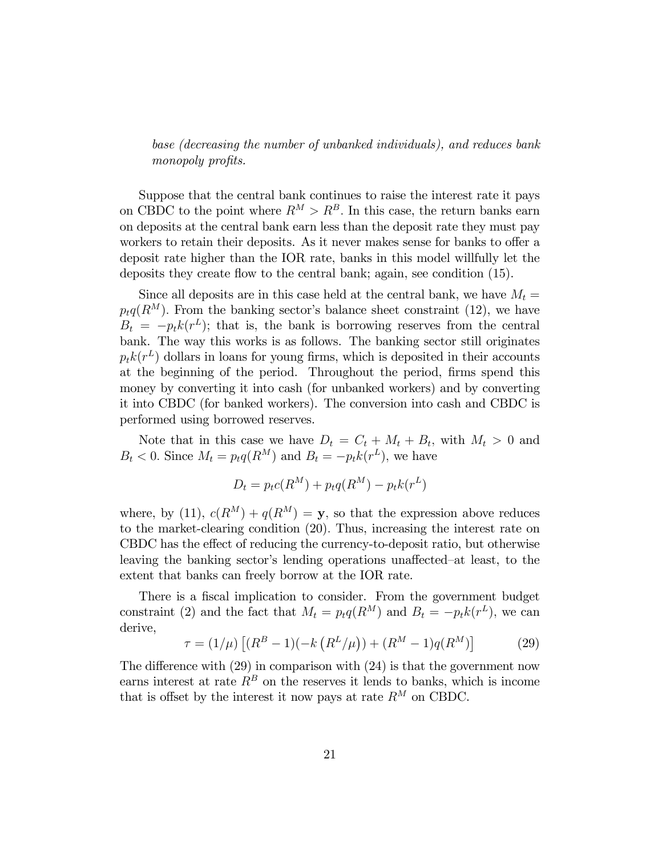base (decreasing the number of unbanked individuals), and reduces bank monopoly profits.

Suppose that the central bank continues to raise the interest rate it pays on CBDC to the point where  $R^M > R^B$ . In this case, the return banks earn on deposits at the central bank earn less than the deposit rate they must pay workers to retain their deposits. As it never makes sense for banks to offer a deposit rate higher than the IOR rate, banks in this model willfully let the deposits they create flow to the central bank; again, see condition (15).

Since all deposits are in this case held at the central bank, we have  $M_t =$  $p_tq(R^M)$ . From the banking sector's balance sheet constraint (12), we have  $B_t = -p_t k(r^L)$ ; that is, the bank is borrowing reserves from the central bank. The way this works is as follows. The banking sector still originates  $p_t k(r^L)$  dollars in loans for young firms, which is deposited in their accounts at the beginning of the period. Throughout the period, firms spend this money by converting it into cash (for unbanked workers) and by converting it into CBDC (for banked workers). The conversion into cash and CBDC is performed using borrowed reserves.

Note that in this case we have  $D_t = C_t + M_t + B_t$ , with  $M_t > 0$  and  $B_t < 0$ . Since  $M_t = p_t q(R^M)$  and  $B_t = -p_t k(r^L)$ , we have

$$
D_t = p_t c(R^M) + p_t q(R^M) - p_t k(r^L)
$$

where, by (11),  $c(R^M) + q(R^M) = y$ , so that the expression above reduces to the market-clearing condition (20): Thus, increasing the interest rate on CBDC has the effect of reducing the currency-to-deposit ratio, but otherwise leaving the banking sector's lending operations unaffected–at least, to the extent that banks can freely borrow at the IOR rate.

There is a fiscal implication to consider. From the government budget constraint (2) and the fact that  $M_t = p_t q(R^M)$  and  $B_t = -p_t k(r^L)$ , we can derive,

$$
\tau = (1/\mu) \left[ (R^B - 1)(-k \left( R^L / \mu \right)) + (R^M - 1) q (R^M) \right] \tag{29}
$$

The difference with  $(29)$  in comparison with  $(24)$  is that the government now earns interest at rate  $R^B$  on the reserves it lends to banks, which is income that is offset by the interest it now pays at rate  $R^M$  on CBDC.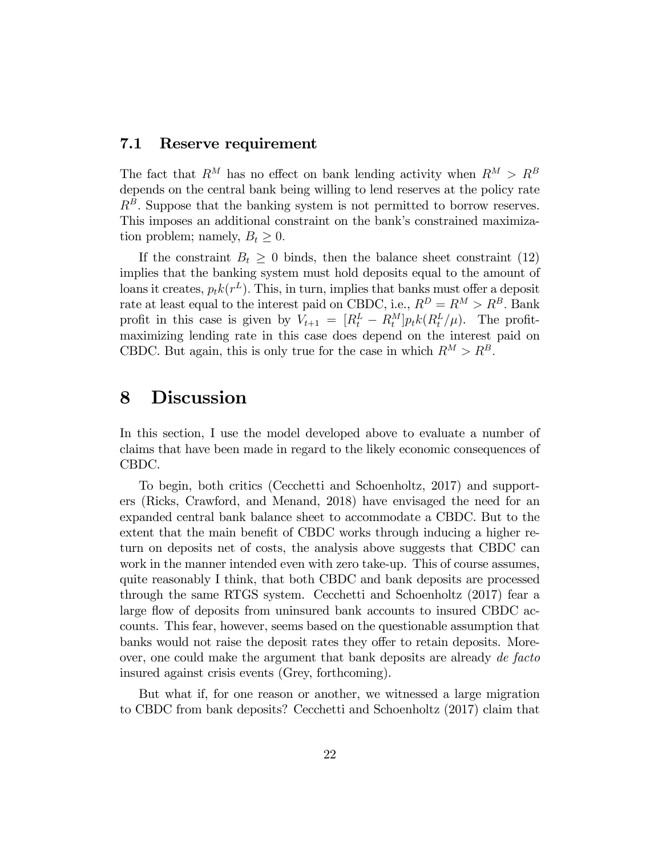#### 7.1 Reserve requirement

The fact that  $R^M$  has no effect on bank lending activity when  $R^M > R^B$ depends on the central bank being willing to lend reserves at the policy rate  $R<sup>B</sup>$ . Suppose that the banking system is not permitted to borrow reserves. This imposes an additional constraint on the bank's constrained maximization problem; namely,  $B_t \geq 0$ .

If the constraint  $B_t \geq 0$  binds, then the balance sheet constraint (12) implies that the banking system must hold deposits equal to the amount of loans it creates,  $p_t k(r^L)$ . This, in turn, implies that banks must offer a deposit rate at least equal to the interest paid on CBDC, i.e.,  $R^D = R^M > R^B$ . Bank profit in this case is given by  $V_{t+1} = \left[R_t^L - R_t^M\right]p_t k(R_t^L/\mu)$ . The profitmaximizing lending rate in this case does depend on the interest paid on CBDC. But again, this is only true for the case in which  $R^M > R^B$ .

### 8 Discussion

In this section, I use the model developed above to evaluate a number of claims that have been made in regard to the likely economic consequences of CBDC.

To begin, both critics (Cecchetti and Schoenholtz, 2017) and supporters (Ricks, Crawford, and Menand, 2018) have envisaged the need for an expanded central bank balance sheet to accommodate a CBDC. But to the extent that the main benefit of CBDC works through inducing a higher return on deposits net of costs, the analysis above suggests that CBDC can work in the manner intended even with zero take-up. This of course assumes, quite reasonably I think, that both CBDC and bank deposits are processed through the same RTGS system. Cecchetti and Schoenholtz (2017) fear a large flow of deposits from uninsured bank accounts to insured CBDC accounts. This fear, however, seems based on the questionable assumption that banks would not raise the deposit rates they offer to retain deposits. Moreover, one could make the argument that bank deposits are already de facto insured against crisis events (Grey, forthcoming).

But what if, for one reason or another, we witnessed a large migration to CBDC from bank deposits? Cecchetti and Schoenholtz (2017) claim that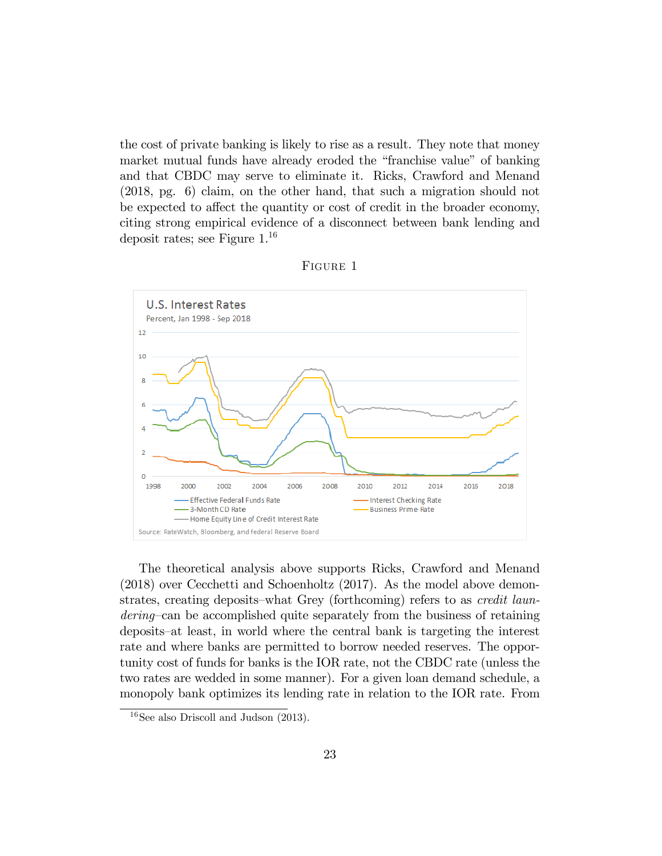the cost of private banking is likely to rise as a result. They note that money market mutual funds have already eroded the "franchise value" of banking and that CBDC may serve to eliminate it. Ricks, Crawford and Menand (2018, pg. 6) claim, on the other hand, that such a migration should not be expected to affect the quantity or cost of credit in the broader economy, citing strong empirical evidence of a disconnect between bank lending and deposit rates; see Figure 1.<sup>16</sup>





The theoretical analysis above supports Ricks, Crawford and Menand (2018) over Cecchetti and Schoenholtz (2017). As the model above demonstrates, creating deposits—what Grey (forthcoming) refers to as *credit laun*dering—can be accomplished quite separately from the business of retaining deposits–at least, in world where the central bank is targeting the interest rate and where banks are permitted to borrow needed reserves. The opportunity cost of funds for banks is the IOR rate, not the CBDC rate (unless the two rates are wedded in some manner). For a given loan demand schedule, a monopoly bank optimizes its lending rate in relation to the IOR rate. From

 $16$ See also Driscoll and Judson  $(2013)$ .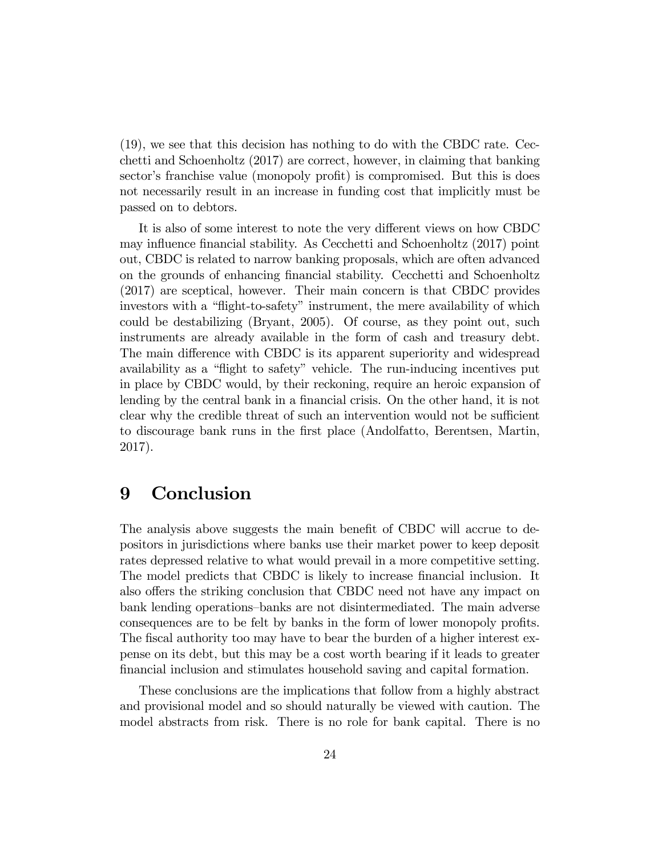(19), we see that this decision has nothing to do with the CBDC rate. Cecchetti and Schoenholtz (2017) are correct, however, in claiming that banking sector's franchise value (monopoly profit) is compromised. But this is does not necessarily result in an increase in funding cost that implicitly must be passed on to debtors.

It is also of some interest to note the very different views on how CBDC may influence financial stability. As Cecchetti and Schoenholtz (2017) point out, CBDC is related to narrow banking proposals, which are often advanced on the grounds of enhancing Önancial stability. Cecchetti and Schoenholtz (2017) are sceptical, however. Their main concern is that CBDC provides investors with a "flight-to-safety" instrument, the mere availability of which could be destabilizing (Bryant, 2005). Of course, as they point out, such instruments are already available in the form of cash and treasury debt. The main difference with CBDC is its apparent superiority and widespread availability as a "flight to safety" vehicle. The run-inducing incentives put in place by CBDC would, by their reckoning, require an heroic expansion of lending by the central bank in a financial crisis. On the other hand, it is not clear why the credible threat of such an intervention would not be sufficient to discourage bank runs in the Örst place (Andolfatto, Berentsen, Martin, 2017).

### 9 Conclusion

The analysis above suggests the main benefit of CBDC will accrue to depositors in jurisdictions where banks use their market power to keep deposit rates depressed relative to what would prevail in a more competitive setting. The model predicts that CBDC is likely to increase financial inclusion. It also offers the striking conclusion that CBDC need not have any impact on bank lending operations-banks are not disintermediated. The main adverse consequences are to be felt by banks in the form of lower monopoly profits. The fiscal authority too may have to bear the burden of a higher interest expense on its debt, but this may be a cost worth bearing if it leads to greater Önancial inclusion and stimulates household saving and capital formation.

These conclusions are the implications that follow from a highly abstract and provisional model and so should naturally be viewed with caution. The model abstracts from risk. There is no role for bank capital. There is no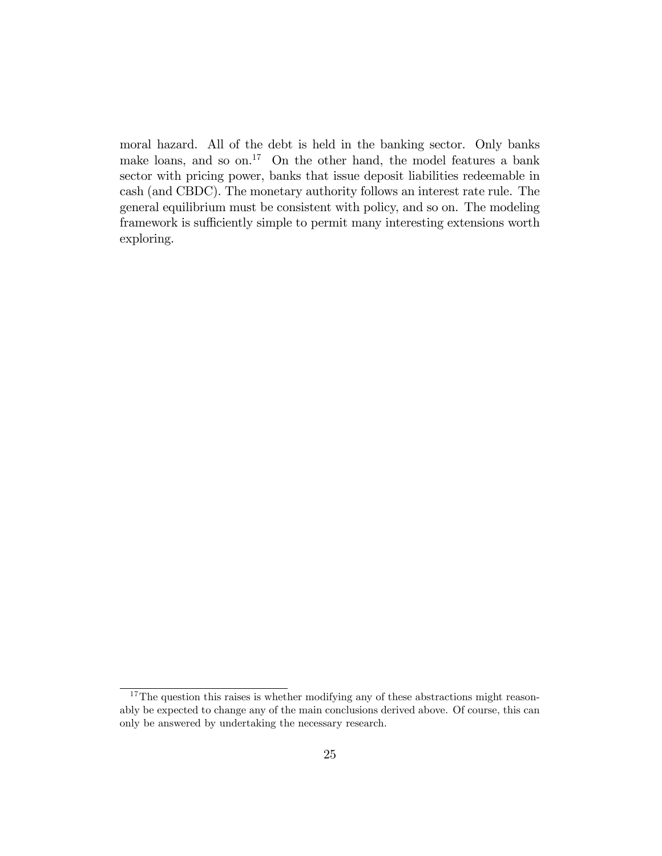moral hazard. All of the debt is held in the banking sector. Only banks make loans, and so on.<sup>17</sup> On the other hand, the model features a bank sector with pricing power, banks that issue deposit liabilities redeemable in cash (and CBDC). The monetary authority follows an interest rate rule. The general equilibrium must be consistent with policy, and so on. The modeling framework is sufficiently simple to permit many interesting extensions worth exploring.

 $17$ The question this raises is whether modifying any of these abstractions might reasonably be expected to change any of the main conclusions derived above. Of course, this can only be answered by undertaking the necessary research.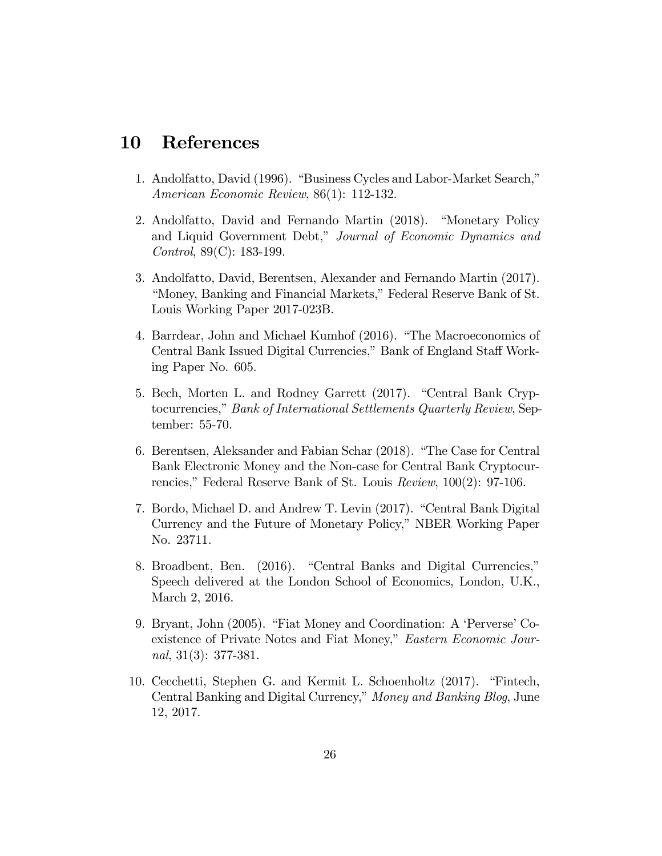# 10 References

- 1. Andolfatto, David (1996). "Business Cycles and Labor-Market Search," American Economic Review, 86(1): 112-132.
- 2. Andolfatto, David and Fernando Martin (2018). "Monetary Policy and Liquid Government Debt," Journal of Economic Dynamics and Control, 89(C): 183-199.
- 3. Andolfatto, David, Berentsen, Alexander and Fernando Martin (2017). "Money, Banking and Financial Markets," Federal Reserve Bank of St. Louis Working Paper 2017-023B.
- 4. Barrdear, John and Michael Kumhof (2016). "The Macroeconomics of Central Bank Issued Digital Currencies," Bank of England Staff Working Paper No. 605.
- 5. Bech, Morten L. and Rodney Garrett (2017). "Central Bank Cryptocurrencies," Bank of International Settlements Quarterly Review, September: 55-70.
- 6. Berentsen, Aleksander and Fabian Schar (2018). "The Case for Central Bank Electronic Money and the Non-case for Central Bank Cryptocurrencies," Federal Reserve Bank of St. Louis  $Review, 100(2): 97-106$ .
- 7. Bordo, Michael D. and Andrew T. Levin (2017). "Central Bank Digital Currency and the Future of Monetary Policy," NBER Working Paper No. 23711.
- 8. Broadbent, Ben. (2016). "Central Banks and Digital Currencies," Speech delivered at the London School of Economics, London, U.K., March 2, 2016.
- 9. Bryant, John (2005). "Fiat Money and Coordination: A 'Perverse' Coexistence of Private Notes and Fiat Money," Eastern Economic Journal, 31(3): 377-381.
- 10. Cecchetti, Stephen G. and Kermit L. Schoenholtz (2017). "Fintech, Central Banking and Digital Currency," Money and Banking Blog, June 12, 2017.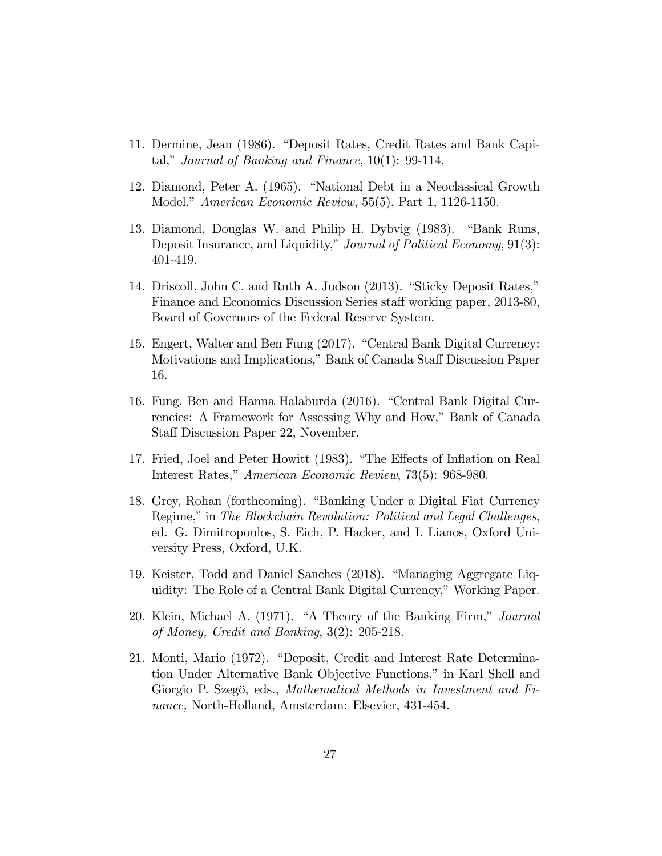- 11. Dermine, Jean (1986). "Deposit Rates, Credit Rates and Bank Capital," Journal of Banking and Finance,  $10(1)$ : 99-114.
- 12. Diamond, Peter A. (1965). "National Debt in a Neoclassical Growth Model," *American Economic Review*, 55(5), Part 1, 1126-1150.
- 13. Diamond, Douglas W. and Philip H. Dybvig (1983). "Bank Runs, Deposit Insurance, and Liquidity," Journal of Political Economy, 91(3): 401-419.
- 14. Driscoll, John C. and Ruth A. Judson (2013). "Sticky Deposit Rates," Finance and Economics Discussion Series staff working paper, 2013-80, Board of Governors of the Federal Reserve System.
- 15. Engert, Walter and Ben Fung (2017). "Central Bank Digital Currency: Motivations and Implications," Bank of Canada Staff Discussion Paper 16.
- 16. Fung, Ben and Hanna Halaburda (2016). "Central Bank Digital Currencies: A Framework for Assessing Why and How," Bank of Canada Staff Discussion Paper 22, November.
- 17. Fried, Joel and Peter Howitt (1983). "The Effects of Inflation on Real Interest Rates," American Economic Review, 73(5): 968-980.
- 18. Grey, Rohan (forthcoming). "Banking Under a Digital Fiat Currency Regime," in The Blockchain Revolution: Political and Legal Challenges, ed. G. Dimitropoulos, S. Eich, P. Hacker, and I. Lianos, Oxford University Press, Oxford, U.K.
- 19. Keister, Todd and Daniel Sanches (2018). "Managing Aggregate Liquidity: The Role of a Central Bank Digital Currency," Working Paper.
- 20. Klein, Michael A. (1971). "A Theory of the Banking Firm," Journal of Money, Credit and Banking, 3(2): 205-218.
- 21. Monti, Mario (1972). "Deposit, Credit and Interest Rate Determination Under Alternative Bank Objective Functions," in Karl Shell and Giorgio P. Szegö, eds., Mathematical Methods in Investment and Finance, North-Holland, Amsterdam: Elsevier, 431-454.